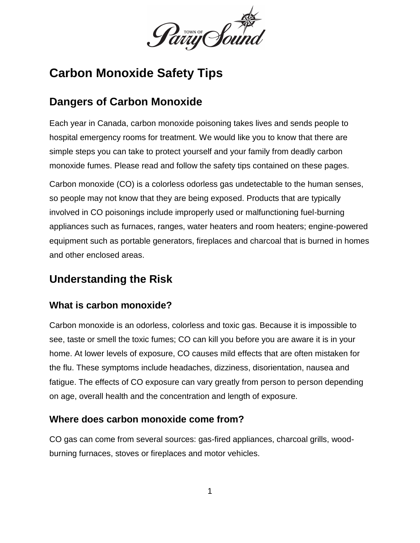

# **Carbon Monoxide Safety Tips**

## **Dangers of Carbon Monoxide**

Each year in Canada, carbon monoxide poisoning takes lives and sends people to hospital emergency rooms for treatment. We would like you to know that there are simple steps you can take to protect yourself and your family from deadly carbon monoxide fumes. Please read and follow the safety tips contained on these pages.

Carbon monoxide (CO) is a colorless odorless gas undetectable to the human senses, so people may not know that they are being exposed. Products that are typically involved in CO poisonings include improperly used or malfunctioning fuel-burning appliances such as furnaces, ranges, water heaters and room heaters; engine-powered equipment such as portable generators, fireplaces and charcoal that is burned in homes and other enclosed areas.

## **Understanding the Risk**

#### **What is carbon monoxide?**

Carbon monoxide is an odorless, colorless and toxic gas. Because it is impossible to see, taste or smell the toxic fumes; CO can kill you before you are aware it is in your home. At lower levels of exposure, CO causes mild effects that are often mistaken for the flu. These symptoms include headaches, dizziness, disorientation, nausea and fatigue. The effects of CO exposure can vary greatly from person to person depending on age, overall health and the concentration and length of exposure.

#### **Where does carbon monoxide come from?**

CO gas can come from several sources: gas-fired appliances, charcoal grills, woodburning furnaces, stoves or fireplaces and motor vehicles.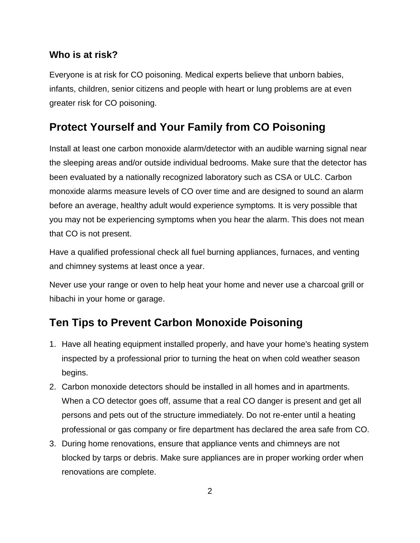#### **Who is at risk?**

Everyone is at risk for CO poisoning. Medical experts believe that unborn babies, infants, children, senior citizens and people with heart or lung problems are at even greater risk for CO poisoning.

### **Protect Yourself and Your Family from CO Poisoning**

Install at least one carbon monoxide alarm/detector with an audible warning signal near the sleeping areas and/or outside individual bedrooms. Make sure that the detector has been evaluated by a nationally recognized laboratory such as CSA or ULC. Carbon monoxide alarms measure levels of CO over time and are designed to sound an alarm before an average, healthy adult would experience symptoms. It is very possible that you may not be experiencing symptoms when you hear the alarm. This does not mean that CO is not present.

Have a qualified professional check all fuel burning appliances, furnaces, and venting and chimney systems at least once a year.

Never use your range or oven to help heat your home and never use a charcoal grill or hibachi in your home or garage.

### **Ten Tips to Prevent Carbon Monoxide Poisoning**

- 1. Have all heating equipment installed properly, and have your home's heating system inspected by a professional prior to turning the heat on when cold weather season begins.
- 2. Carbon monoxide detectors should be installed in all homes and in apartments. When a CO detector goes off, assume that a real CO danger is present and get all persons and pets out of the structure immediately. Do not re-enter until a heating professional or gas company or fire department has declared the area safe from CO.
- 3. During home renovations, ensure that appliance vents and chimneys are not blocked by tarps or debris. Make sure appliances are in proper working order when renovations are complete.